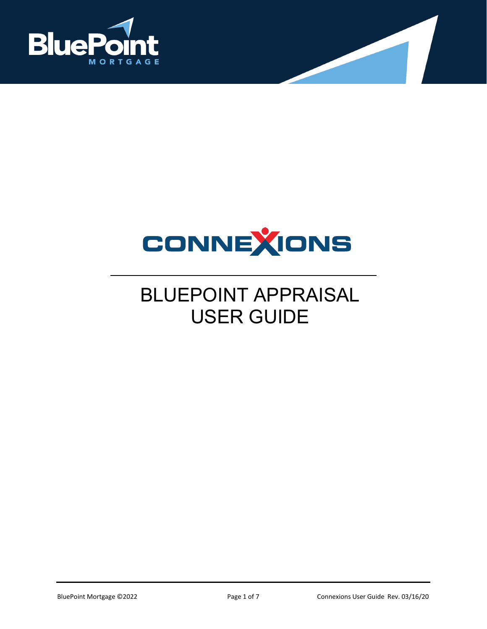



## BLUEPOINT APPRAISAL USER GUIDE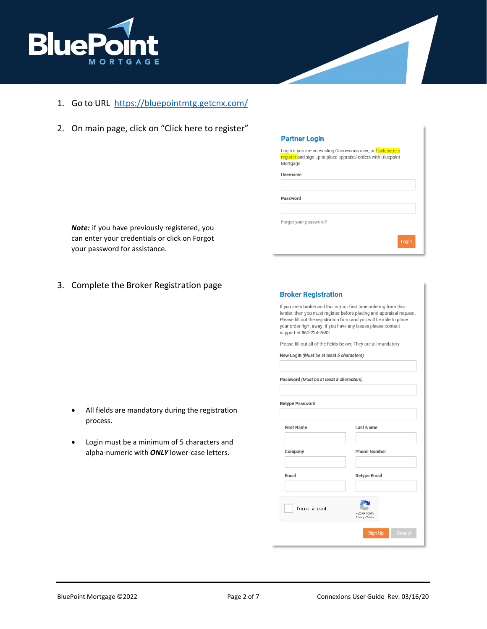

- 1. Go to URL <https://bluepointmtg.getcnx.com/>
- 2. On main page, click on "Click here to register"

| Partner Login |  |
|---------------|--|
|               |  |

Login if you are an existing Connexions user, or Click here to register and sign up to place appraisal orders with Bluepoint Mortgage.

Username

Password

Forgot your password?

*Note:* if you have previously registered, you can enter your credentials or click on Forgot your password for assistance.

3. Complete the Broker Registration page

| <b>Broker Registration</b>                                                                                                                                                                                                                                                                                                                                                        |                                     |
|-----------------------------------------------------------------------------------------------------------------------------------------------------------------------------------------------------------------------------------------------------------------------------------------------------------------------------------------------------------------------------------|-------------------------------------|
| If you are a broker and this is your first time ordering from this<br>lender, then you must register before placing and appraisal request.<br>Please fill out the registration form and you will be able to place<br>your order right away. If you have any issues please contact<br>support at 860-224-2683.<br>Please fill out all of the fields below; They are all mandatory. |                                     |
| New Login (Must be at least 5 characters)                                                                                                                                                                                                                                                                                                                                         |                                     |
|                                                                                                                                                                                                                                                                                                                                                                                   |                                     |
| Password (Must be at least 5 characters)                                                                                                                                                                                                                                                                                                                                          |                                     |
| <b>Retype Password</b>                                                                                                                                                                                                                                                                                                                                                            |                                     |
| <b>First Name</b>                                                                                                                                                                                                                                                                                                                                                                 | <b>Last Name</b>                    |
| Company                                                                                                                                                                                                                                                                                                                                                                           | <b>Phone Number</b>                 |
| Email                                                                                                                                                                                                                                                                                                                                                                             | <b>Retype Email</b>                 |
| I'm not a robot                                                                                                                                                                                                                                                                                                                                                                   | <b>reCAPTCHA</b><br>Privacy - Terms |
|                                                                                                                                                                                                                                                                                                                                                                                   | Sign Up<br>Cancel                   |

- All fields are mandatory during the registration process.
- Login must be a minimum of 5 characters and alpha-numeric with *ONLY* lower-case letters.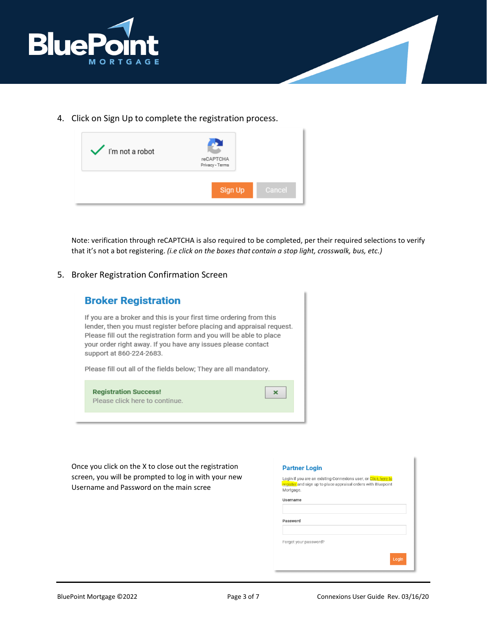

4. Click on Sign Up to complete the registration process.



Note: verification through reCAPTCHA is also required to be completed, per their required selections to verify that it's not a bot registering. *(i.e click on the boxes that contain a stop light, crosswalk, bus, etc.)*

## 5. Broker Registration Confirmation Screen



Once you click on the X to close out the registration screen, you will be prompted to log in with your new Username and Password on the main scree

| <b>Partner Login</b>                                                                                                                         |       |
|----------------------------------------------------------------------------------------------------------------------------------------------|-------|
| Login if you are an existing Connexions user, or Click here to<br>register and sign up to place appraisal orders with Bluepoint<br>Mortgage. |       |
| Username                                                                                                                                     |       |
| Password                                                                                                                                     |       |
| Forgot your password?                                                                                                                        |       |
|                                                                                                                                              | Login |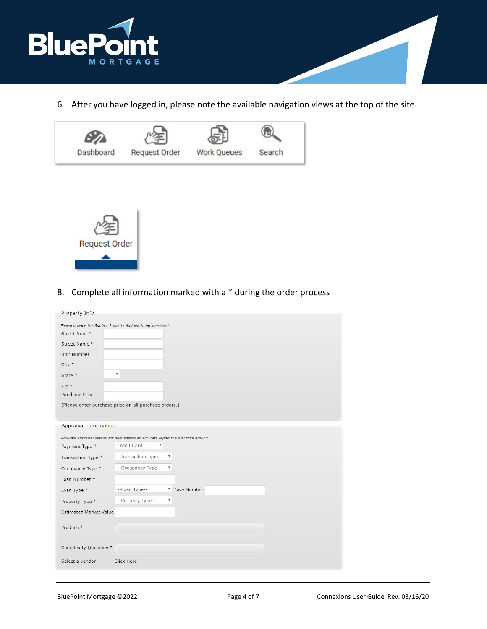

6. After you have logged in, please note the available navigation views at the top of the site.





8. Complete all information marked with a \* during the order process

| <b>Property Info</b>          |                                                                                       |
|-------------------------------|---------------------------------------------------------------------------------------|
|                               | Please provide the Subject Property Address to be appraised.                          |
| Street Num *                  |                                                                                       |
| Street Name *                 |                                                                                       |
| <b>Unit Number</b>            |                                                                                       |
| $City *$                      |                                                                                       |
| State *                       | ۷.                                                                                    |
| $Zip *$                       |                                                                                       |
| <b>Purchase Price</b>         |                                                                                       |
|                               | (Please enter purchase price on all purchase orders.)                                 |
|                               |                                                                                       |
| <b>Appraisal Information</b>  |                                                                                       |
|                               | Accurate appraisal details will help ensure an accurate report the first time around. |
| Payment Type *                | Credit Card<br>Y                                                                      |
| Transaction Type *            | --Transaction Type--<br>v                                                             |
| Occupancy Type *              | --Occupancy Type--<br>$\overline{\mathbf{v}}$                                         |
| Loan Number *                 |                                                                                       |
| Loan Type *                   | --Loan Type--<br><sup>v</sup> Case Number                                             |
| Property Type *               | $\overline{\mathbf v}$<br>--Property Type--                                           |
| <b>Estimated Market Value</b> |                                                                                       |
| Products*                     |                                                                                       |
|                               |                                                                                       |
| Complexity Questions*         |                                                                                       |
|                               |                                                                                       |
| Select a vendor               | <b>Click Here</b>                                                                     |
|                               |                                                                                       |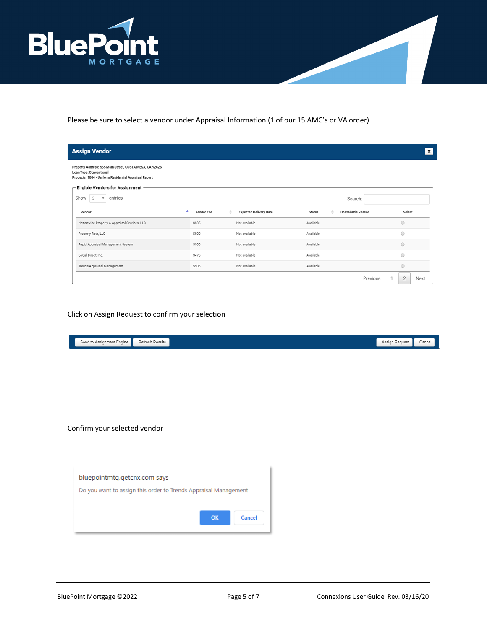

Please be sure to select a vendor under Appraisal Information (1 of our 15 AMC's or VA order)

| <b>Assign Vendor</b>                                                                                                                        |              |                               |               |                    | $\pmb{\times}$         |
|---------------------------------------------------------------------------------------------------------------------------------------------|--------------|-------------------------------|---------------|--------------------|------------------------|
| Property Address: 555 Main Street, COSTA MESA, CA 92626<br>Loan Type: Conventional<br>Products: 1004 - Uniform Residential Appraisal Report |              |                               |               |                    |                        |
| Eligible Vendors for Assignment -                                                                                                           |              |                               |               |                    |                        |
| Show<br>entries<br>5<br>$\mathbf{v}$                                                                                                        |              |                               |               | Search:            |                        |
| Vendor                                                                                                                                      | Vendor Fee   | <b>Expected Delivery Date</b> | <b>Status</b> | Unavailable Reason | Select                 |
| Nationwide Property & Appraisal Services, LLC                                                                                               | <b>S535</b>  | Not available                 | Available     |                    | $\odot$                |
| Property Rate, LLC                                                                                                                          | <b>S500</b>  | Not available                 | Available     |                    | $\odot$                |
| Rapid Appraisal Management System                                                                                                           | \$500        | Not available                 | Available     |                    | $\odot$                |
| SoCal Direct, Inc.                                                                                                                          | <b>\$475</b> | Not available                 | Available     |                    | $\odot$                |
| Trends Appraisal Management                                                                                                                 | \$505        | Not available                 | Available     |                    | $\odot$                |
|                                                                                                                                             |              |                               |               | Previous           | $\overline{2}$<br>Next |

## Click on Assign Request to confirm your selection

| Send to Assignment Engine<br>Refresh Results                                                    |              |  | Assign Request<br>Cancel |
|-------------------------------------------------------------------------------------------------|--------------|--|--------------------------|
|                                                                                                 |              |  |                          |
| Confirm your selected vendor                                                                    |              |  |                          |
| bluepointmtg.getcnx.com says<br>Do you want to assign this order to Trends Appraisal Management |              |  |                          |
|                                                                                                 | OK<br>Cancel |  |                          |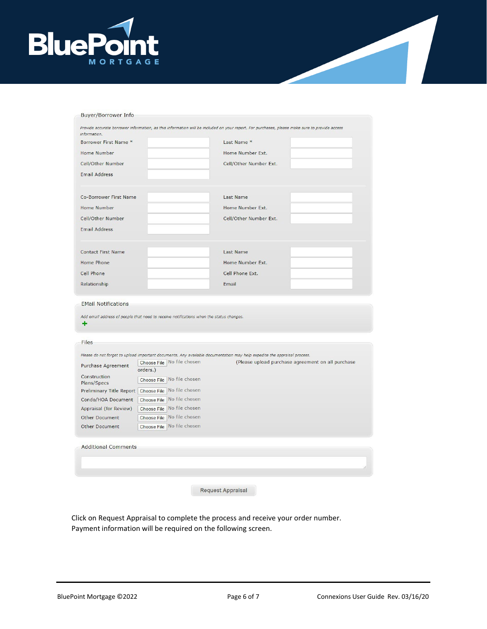

| information.                                                                                                                                                                                                                   |                                        |                                                                                                                          |  |
|--------------------------------------------------------------------------------------------------------------------------------------------------------------------------------------------------------------------------------|----------------------------------------|--------------------------------------------------------------------------------------------------------------------------|--|
| Borrower First Name *                                                                                                                                                                                                          |                                        | Last Name *                                                                                                              |  |
| <b>Home Number</b>                                                                                                                                                                                                             |                                        | Home Number Ext.                                                                                                         |  |
| Cell/Other Number                                                                                                                                                                                                              |                                        | Cell/Other Number Ext.                                                                                                   |  |
| <b>Email Address</b>                                                                                                                                                                                                           |                                        |                                                                                                                          |  |
| Co-Borrower First Name                                                                                                                                                                                                         |                                        | Last Name                                                                                                                |  |
| <b>Home Number</b>                                                                                                                                                                                                             |                                        | Home Number Ext.                                                                                                         |  |
| Cell/Other Number                                                                                                                                                                                                              |                                        | Cell/Other Number Ext.                                                                                                   |  |
| <b>Email Address</b>                                                                                                                                                                                                           |                                        |                                                                                                                          |  |
| <b>Contact First Name</b>                                                                                                                                                                                                      |                                        | <b>Last Name</b>                                                                                                         |  |
| Home Phone                                                                                                                                                                                                                     |                                        | Home Number Ext.                                                                                                         |  |
| <b>Cell Phone</b>                                                                                                                                                                                                              |                                        | Cell Phone Ext.                                                                                                          |  |
|                                                                                                                                                                                                                                |                                        |                                                                                                                          |  |
|                                                                                                                                                                                                                                |                                        | Email<br>Add email address of people that need to receive notifications when the status changes.                         |  |
| <b>EMail Notifications</b><br>÷                                                                                                                                                                                                |                                        |                                                                                                                          |  |
|                                                                                                                                                                                                                                |                                        |                                                                                                                          |  |
|                                                                                                                                                                                                                                |                                        | Please do not forget to upload important documents. Any available documentation may help expedite the appraisal process. |  |
|                                                                                                                                                                                                                                | Choose File No file chosen             | (Please upload purchase agreement on all purchase                                                                        |  |
|                                                                                                                                                                                                                                | orders.)<br>Choose File No file chosen |                                                                                                                          |  |
|                                                                                                                                                                                                                                |                                        |                                                                                                                          |  |
|                                                                                                                                                                                                                                | Choose File No file chosen             |                                                                                                                          |  |
|                                                                                                                                                                                                                                | Choose File No file chosen             |                                                                                                                          |  |
| Files                                                                                                                                                                                                                          | Choose File No file chosen             |                                                                                                                          |  |
| Relationship<br>Purchase Agreement<br>Construction<br>Plans/Specs<br>Preliminary Title Report   Choose File   No file chosen<br>Condo/HOA Document<br>Appraisal (for Review)<br><b>Other Document</b><br><b>Other Document</b> | Choose File No file chosen             |                                                                                                                          |  |
| <b>Additional Comments</b>                                                                                                                                                                                                     |                                        |                                                                                                                          |  |
|                                                                                                                                                                                                                                |                                        |                                                                                                                          |  |

Click on Request Appraisal to complete the process and receive your order number. Payment information will be required on the following screen.